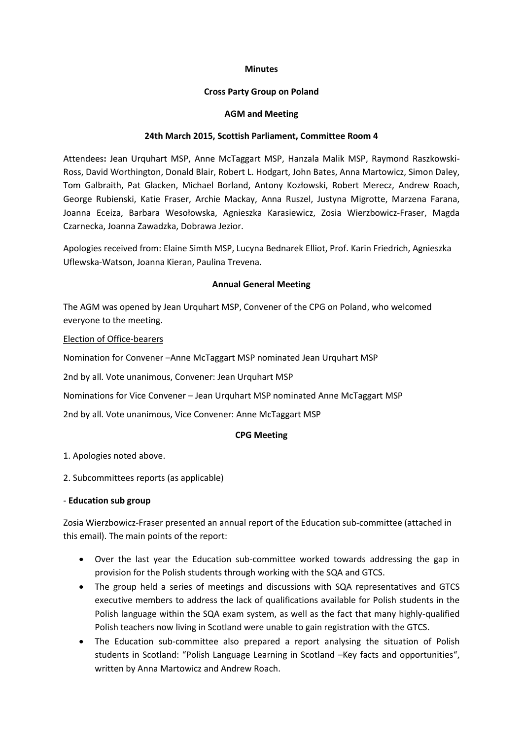### **Minutes**

### **Cross Party Group on Poland**

### **AGM and Meeting**

### **24th March 2015, Scottish Parliament, Committee Room 4**

Attendees**:** Jean Urquhart MSP, Anne McTaggart MSP, Hanzala Malik MSP, Raymond Raszkowski-Ross, David Worthington, Donald Blair, Robert L. Hodgart, John Bates, Anna Martowicz, Simon Daley, Tom Galbraith, Pat Glacken, Michael Borland, Antony Kozłowski, Robert Merecz, Andrew Roach, George Rubienski, Katie Fraser, Archie Mackay, Anna Ruszel, Justyna Migrotte, Marzena Farana, Joanna Eceiza, Barbara Wesołowska, Agnieszka Karasiewicz, Zosia Wierzbowicz-Fraser, Magda Czarnecka, Joanna Zawadzka, Dobrawa Jezior.

Apologies received from: Elaine Simth MSP, Lucyna Bednarek Elliot, Prof. Karin Friedrich, Agnieszka Uflewska-Watson, Joanna Kieran, Paulina Trevena.

## **Annual General Meeting**

The AGM was opened by Jean Urquhart MSP, Convener of the CPG on Poland, who welcomed everyone to the meeting.

### Election of Office-bearers

Nomination for Convener –Anne McTaggart MSP nominated Jean Urquhart MSP

2nd by all. Vote unanimous, Convener: Jean Urquhart MSP

Nominations for Vice Convener – Jean Urquhart MSP nominated Anne McTaggart MSP

2nd by all. Vote unanimous, Vice Convener: Anne McTaggart MSP

## **CPG Meeting**

1. Apologies noted above.

2. Subcommittees reports (as applicable)

## - **Education sub group**

Zosia Wierzbowicz-Fraser presented an annual report of the Education sub-committee (attached in this email). The main points of the report:

- Over the last year the Education sub-committee worked towards addressing the gap in provision for the Polish students through working with the SQA and GTCS.
- The group held a series of meetings and discussions with SQA representatives and GTCS executive members to address the lack of qualifications available for Polish students in the Polish language within the SQA exam system, as well as the fact that many highly-qualified Polish teachers now living in Scotland were unable to gain registration with the GTCS.
- The Education sub-committee also prepared a report analysing the situation of Polish students in Scotland: "Polish Language Learning in Scotland –Key facts and opportunities", written by Anna Martowicz and Andrew Roach.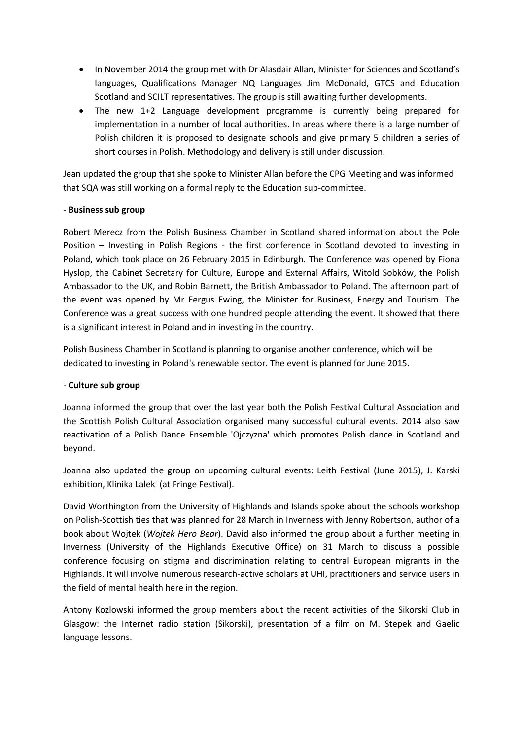- In November 2014 the group met with Dr Alasdair Allan, Minister for Sciences and Scotland's languages, Qualifications Manager NQ Languages Jim McDonald, GTCS and Education Scotland and SCILT representatives. The group is still awaiting further developments.
- The new 1+2 Language development programme is currently being prepared for implementation in a number of local authorities. In areas where there is a large number of Polish children it is proposed to designate schools and give primary 5 children a series of short courses in Polish. Methodology and delivery is still under discussion.

Jean updated the group that she spoke to Minister Allan before the CPG Meeting and was informed that SQA was still working on a formal reply to the Education sub-committee.

## - **Business sub group**

Robert Merecz from the Polish Business Chamber in Scotland shared information about the Pole Position – Investing in Polish Regions - the first conference in Scotland devoted to investing in Poland, which took place on 26 February 2015 in Edinburgh. The Conference was opened by Fiona Hyslop, the Cabinet Secretary for Culture, Europe and External Affairs, Witold Sobków, the Polish Ambassador to the UK, and Robin Barnett, the British Ambassador to Poland. The afternoon part of the event was opened by Mr Fergus Ewing, the Minister for Business, Energy and Tourism. The Conference was a great success with one hundred people attending the event. It showed that there is a significant interest in Poland and in investing in the country.

Polish Business Chamber in Scotland is planning to organise another conference, which will be dedicated to investing in Poland's renewable sector. The event is planned for June 2015.

# - **Culture sub group**

Joanna informed the group that over the last year both the Polish Festival Cultural Association and the Scottish Polish Cultural Association organised many successful cultural events. 2014 also saw reactivation of a Polish Dance Ensemble 'Ojczyzna' which promotes Polish dance in Scotland and beyond.

Joanna also updated the group on upcoming cultural events: Leith Festival (June 2015), J. Karski exhibition, Klinika Lalek (at Fringe Festival).

David Worthington from the University of Highlands and Islands spoke about the schools workshop on Polish-Scottish ties that was planned for 28 March in Inverness with Jenny Robertson, author of a book about Wojtek (*Wojtek Hero Bear*). David also informed the group about a further meeting in Inverness (University of the Highlands Executive Office) on 31 March to discuss a possible conference focusing on stigma and discrimination relating to central European migrants in the Highlands. It will involve numerous research-active scholars at UHI, practitioners and service users in the field of mental health here in the region.

Antony Kozlowski informed the group members about the recent activities of the Sikorski Club in Glasgow: the Internet radio station (Sikorski), presentation of a film on M. Stepek and Gaelic language lessons.